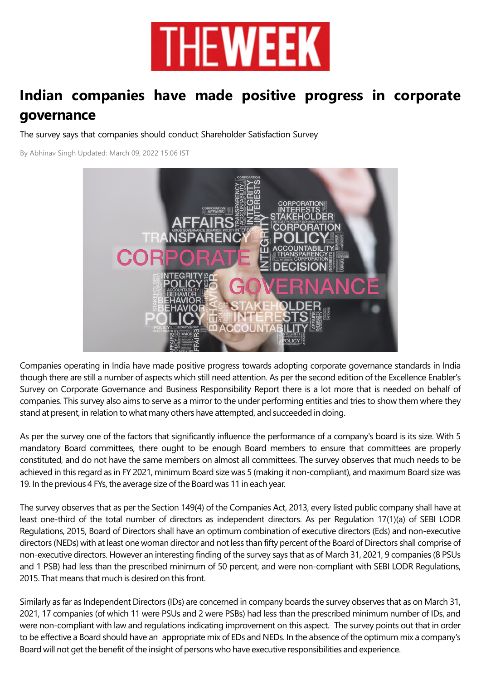

## **Indian companies have made positive progress in corporate governance**

The survey says that companies should conduct Shareholder Satisfaction Survey

By Abhinav Singh Updated: March 09, 2022 15:06 IST



Companies operating in India have made positive progress towards adopting corporate governance standards in India though there are still a number of aspects which still need attention. As per the second edition of the Excellence Enabler's Survey on Corporate Governance and Business Responsibility Report there is a lot more that is needed on behalf of companies. This survey also aims to serve as a mirror to the under performing entities and tries to show them where they stand at present, in relation to what many others have attempted, and succeeded in doing.

As per the survey one of the factors that significantly influence the performance of a company's board is its size. With 5 mandatory Board committees, there ought to be enough Board members to ensure that committees are properly constituted, and do not have the same members on almost all committees. The survey observes that much needs to be achieved in this regard as in FY 2021, minimum Board size was 5 (making it non-compliant), and maximum Board size was 19. In the previous 4 FYs, the average size of the Board was 11 in each year.

The survey observes that as per the Section 149(4) of the Companies Act, 2013, every listed public company shall have at least one-third of the total number of directors as independent directors. As per Regulation 17(1)(a) of SEBI LODR Regulations, 2015, Board of Directors shall have an optimum combination of executive directors (Eds) and non-executive directors (NEDs) with at least one woman director and not less than fifty percent of the Board of Directors shall comprise of non-executive directors. However an interesting finding of the survey says that as of March 31, 2021, 9 companies (8 PSUs and 1 PSB) had less than the prescribed minimum of 50 percent, and were non-compliant with SEBI LODR Regulations, 2015. That means that much is desired on this front.

Similarly as far as Independent Directors (IDs) are concerned in company boards the survey observes that as on March 31, 2021, 17 companies (of which 11 were PSUs and 2 were PSBs) had less than the prescribed minimum number of IDs, and were non-compliant with law and regulations indicating improvement on this aspect. The survey points out that in order to be effective a Board should have an appropriate mix of EDs and NEDs. In the absence of the optimum mix a company's Board will not get the benefit of the insight of persons who have executive responsibilities and experience.